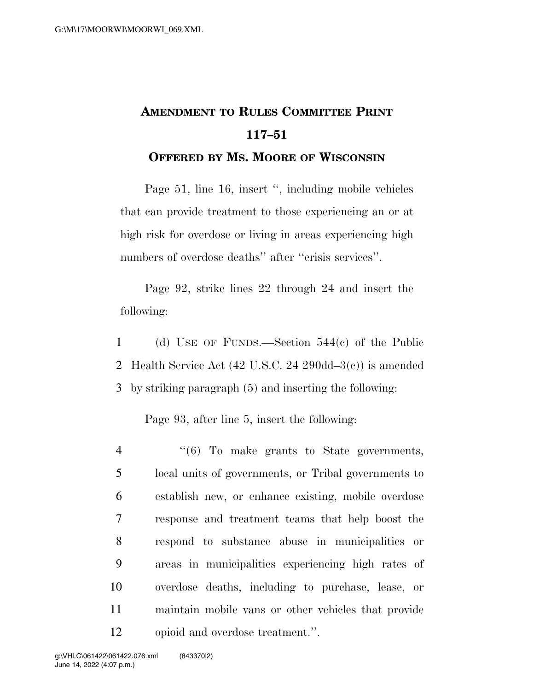## **AMENDMENT TO RULES COMMITTEE PRINT 117–51**

## **OFFERED BY MS. MOORE OF WISCONSIN**

Page 51, line 16, insert '', including mobile vehicles that can provide treatment to those experiencing an or at high risk for overdose or living in areas experiencing high numbers of overdose deaths" after "crisis services".

Page 92, strike lines 22 through 24 and insert the following:

1 (d) USE OF FUNDS.—Section 544(c) of the Public 2 Health Service Act (42 U.S.C. 24 290dd–3(c)) is amended 3 by striking paragraph (5) and inserting the following:

Page 93, after line 5, insert the following:

 ''(6) To make grants to State governments, local units of governments, or Tribal governments to establish new, or enhance existing, mobile overdose response and treatment teams that help boost the respond to substance abuse in municipalities or areas in municipalities experiencing high rates of overdose deaths, including to purchase, lease, or maintain mobile vans or other vehicles that provide opioid and overdose treatment.''.